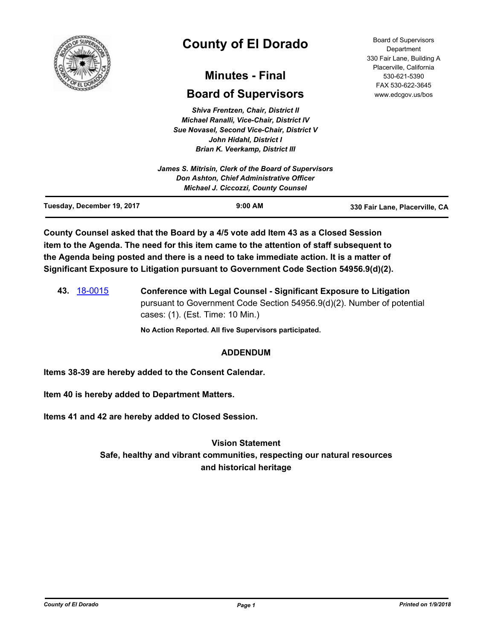

# **County of El Dorado**

## **Minutes - Final**

## **Board of Supervisors**

*Shiva Frentzen, Chair, District II Michael Ranalli, Vice-Chair, District IV Sue Novasel, Second Vice-Chair, District V John Hidahl, District I Brian K. Veerkamp, District III*

Board of Supervisors Department 330 Fair Lane, Building A Placerville, California 530-621-5390 FAX 530-622-3645 www.edcgov.us/bos

| <b>Don Ashton, Chief Administrative Officer</b><br><b>Michael J. Ciccozzi, County Counsel</b> |  |
|-----------------------------------------------------------------------------------------------|--|
| James S. Mitrisin, Clerk of the Board of Supervisors                                          |  |
|                                                                                               |  |

**County Counsel asked that the Board by a 4/5 vote add Item 43 as a Closed Session item to the Agenda. The need for this item came to the attention of staff subsequent to the Agenda being posted and there is a need to take immediate action. It is a matter of Significant Exposure to Litigation pursuant to Government Code Section 54956.9(d)(2).**

**43.** [18-0015](http://eldorado.legistar.com/gateway.aspx?m=l&id=/matter.aspx?key=23356) **Conference with Legal Counsel - Significant Exposure to Litigation** pursuant to Government Code Section 54956.9(d)(2). Number of potential cases: (1). (Est. Time: 10 Min.)

**No Action Reported. All five Supervisors participated.**

## **ADDENDUM**

**Items 38-39 are hereby added to the Consent Calendar.**

**Item 40 is hereby added to Department Matters.**

**Items 41 and 42 are hereby added to Closed Session.**

**Vision Statement Safe, healthy and vibrant communities, respecting our natural resources and historical heritage**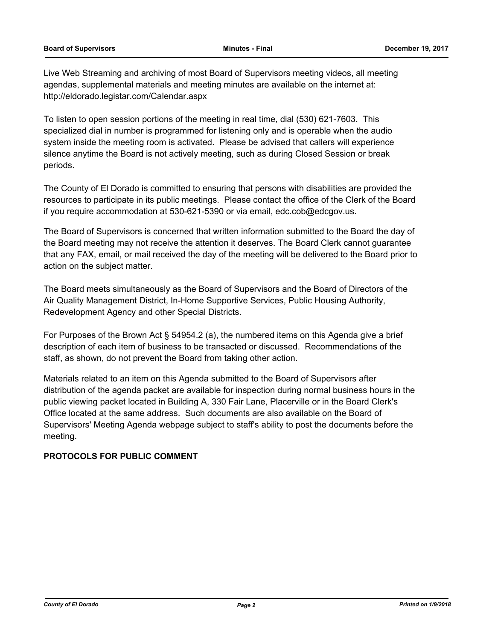Live Web Streaming and archiving of most Board of Supervisors meeting videos, all meeting agendas, supplemental materials and meeting minutes are available on the internet at: http://eldorado.legistar.com/Calendar.aspx

To listen to open session portions of the meeting in real time, dial (530) 621-7603. This specialized dial in number is programmed for listening only and is operable when the audio system inside the meeting room is activated. Please be advised that callers will experience silence anytime the Board is not actively meeting, such as during Closed Session or break periods.

The County of El Dorado is committed to ensuring that persons with disabilities are provided the resources to participate in its public meetings. Please contact the office of the Clerk of the Board if you require accommodation at 530-621-5390 or via email, edc.cob@edcgov.us.

The Board of Supervisors is concerned that written information submitted to the Board the day of the Board meeting may not receive the attention it deserves. The Board Clerk cannot guarantee that any FAX, email, or mail received the day of the meeting will be delivered to the Board prior to action on the subject matter.

The Board meets simultaneously as the Board of Supervisors and the Board of Directors of the Air Quality Management District, In-Home Supportive Services, Public Housing Authority, Redevelopment Agency and other Special Districts.

For Purposes of the Brown Act § 54954.2 (a), the numbered items on this Agenda give a brief description of each item of business to be transacted or discussed. Recommendations of the staff, as shown, do not prevent the Board from taking other action.

Materials related to an item on this Agenda submitted to the Board of Supervisors after distribution of the agenda packet are available for inspection during normal business hours in the public viewing packet located in Building A, 330 Fair Lane, Placerville or in the Board Clerk's Office located at the same address. Such documents are also available on the Board of Supervisors' Meeting Agenda webpage subject to staff's ability to post the documents before the meeting.

## **PROTOCOLS FOR PUBLIC COMMENT**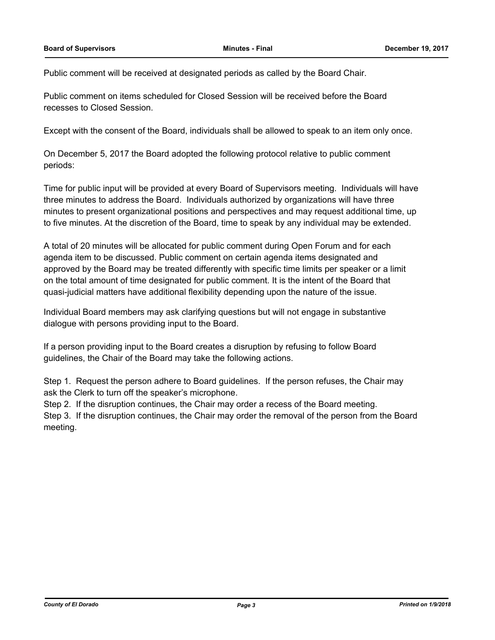Public comment will be received at designated periods as called by the Board Chair.

Public comment on items scheduled for Closed Session will be received before the Board recesses to Closed Session.

Except with the consent of the Board, individuals shall be allowed to speak to an item only once.

On December 5, 2017 the Board adopted the following protocol relative to public comment periods:

Time for public input will be provided at every Board of Supervisors meeting. Individuals will have three minutes to address the Board. Individuals authorized by organizations will have three minutes to present organizational positions and perspectives and may request additional time, up to five minutes. At the discretion of the Board, time to speak by any individual may be extended.

A total of 20 minutes will be allocated for public comment during Open Forum and for each agenda item to be discussed. Public comment on certain agenda items designated and approved by the Board may be treated differently with specific time limits per speaker or a limit on the total amount of time designated for public comment. It is the intent of the Board that quasi-judicial matters have additional flexibility depending upon the nature of the issue.

Individual Board members may ask clarifying questions but will not engage in substantive dialogue with persons providing input to the Board.

If a person providing input to the Board creates a disruption by refusing to follow Board guidelines, the Chair of the Board may take the following actions.

Step 1. Request the person adhere to Board guidelines. If the person refuses, the Chair may ask the Clerk to turn off the speaker's microphone.

Step 2. If the disruption continues, the Chair may order a recess of the Board meeting.

Step 3. If the disruption continues, the Chair may order the removal of the person from the Board meeting.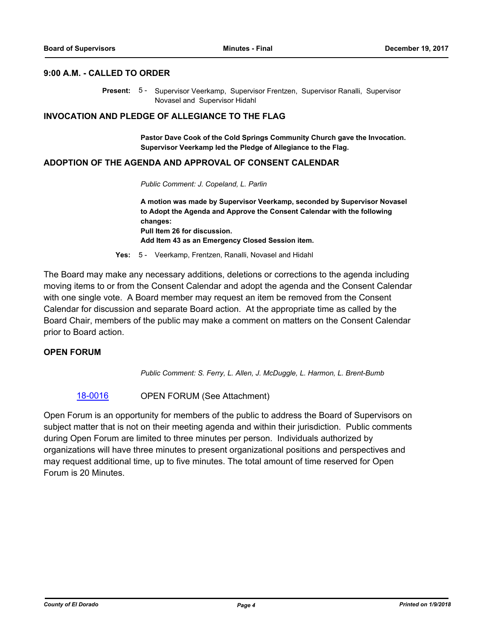#### **9:00 A.M. - CALLED TO ORDER**

Present: 5 - Supervisor Veerkamp, Supervisor Frentzen, Supervisor Ranalli, Supervisor Novasel and Supervisor Hidahl

#### **INVOCATION AND PLEDGE OF ALLEGIANCE TO THE FLAG**

**Pastor Dave Cook of the Cold Springs Community Church gave the Invocation. Supervisor Veerkamp led the Pledge of Allegiance to the Flag.**

#### **ADOPTION OF THE AGENDA AND APPROVAL OF CONSENT CALENDAR**

*Public Comment: J. Copeland, L. Parlin*

**A motion was made by Supervisor Veerkamp, seconded by Supervisor Novasel to Adopt the Agenda and Approve the Consent Calendar with the following changes: Pull Item 26 for discussion. Add Item 43 as an Emergency Closed Session item.**

**Yes:** 5 - Veerkamp, Frentzen, Ranalli, Novasel and Hidahl

The Board may make any necessary additions, deletions or corrections to the agenda including moving items to or from the Consent Calendar and adopt the agenda and the Consent Calendar with one single vote. A Board member may request an item be removed from the Consent Calendar for discussion and separate Board action. At the appropriate time as called by the Board Chair, members of the public may make a comment on matters on the Consent Calendar prior to Board action.

#### **OPEN FORUM**

*Public Comment: S. Ferry, L. Allen, J. McDuggle, L. Harmon, L. Brent-Bumb*

## [18-0016](http://eldorado.legistar.com/gateway.aspx?m=l&id=/matter.aspx?key=23357) OPEN FORUM (See Attachment)

Open Forum is an opportunity for members of the public to address the Board of Supervisors on subject matter that is not on their meeting agenda and within their jurisdiction. Public comments during Open Forum are limited to three minutes per person. Individuals authorized by organizations will have three minutes to present organizational positions and perspectives and may request additional time, up to five minutes. The total amount of time reserved for Open Forum is 20 Minutes.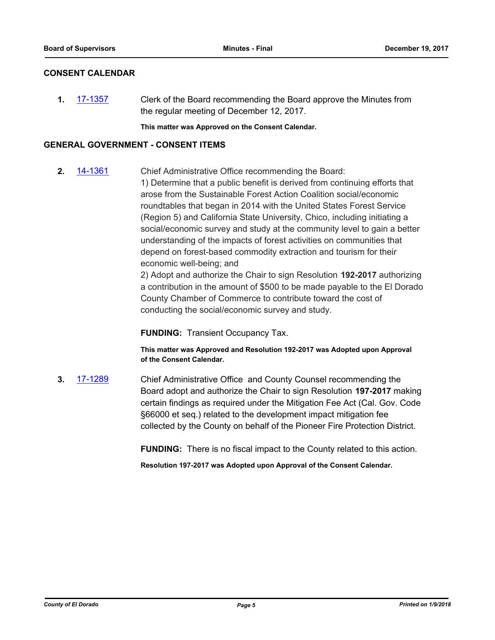## **CONSENT CALENDAR**

**1.** [17-1357](http://eldorado.legistar.com/gateway.aspx?m=l&id=/matter.aspx?key=23303) Clerk of the Board recommending the Board approve the Minutes from the regular meeting of December 12, 2017.

**This matter was Approved on the Consent Calendar.**

## **GENERAL GOVERNMENT - CONSENT ITEMS**

**2.** [14-1361](http://eldorado.legistar.com/gateway.aspx?m=l&id=/matter.aspx?key=18845) Chief Administrative Office recommending the Board: 1) Determine that a public benefit is derived from continuing efforts that arose from the Sustainable Forest Action Coalition social/economic roundtables that began in 2014 with the United States Forest Service (Region 5) and California State University, Chico, including initiating a social/economic survey and study at the community level to gain a better understanding of the impacts of forest activities on communities that depend on forest-based commodity extraction and tourism for their economic well-being; and

2) Adopt and authorize the Chair to sign Resolution **192-2017** authorizing a contribution in the amount of \$500 to be made payable to the El Dorado County Chamber of Commerce to contribute toward the cost of conducting the social/economic survey and study.

**FUNDING:** Transient Occupancy Tax.

**This matter was Approved and Resolution 192-2017 was Adopted upon Approval of the Consent Calendar.**

**3.** [17-1289](http://eldorado.legistar.com/gateway.aspx?m=l&id=/matter.aspx?key=23233) Chief Administrative Office and County Counsel recommending the Board adopt and authorize the Chair to sign Resolution **197-2017** making certain findings as required under the Mitigation Fee Act (Cal. Gov. Code §66000 et seq.) related to the development impact mitigation fee collected by the County on behalf of the Pioneer Fire Protection District.

**FUNDING:** There is no fiscal impact to the County related to this action.

**Resolution 197-2017 was Adopted upon Approval of the Consent Calendar.**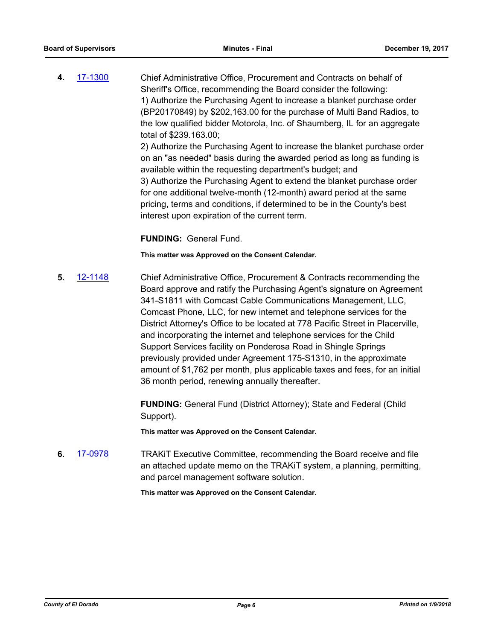**4.** [17-1300](http://eldorado.legistar.com/gateway.aspx?m=l&id=/matter.aspx?key=23244) Chief Administrative Office, Procurement and Contracts on behalf of Sheriff's Office, recommending the Board consider the following: 1) Authorize the Purchasing Agent to increase a blanket purchase order (BP20170849) by \$202,163.00 for the purchase of Multi Band Radios, to the low qualified bidder Motorola, Inc. of Shaumberg, IL for an aggregate total of \$239.163.00; 2) Authorize the Purchasing Agent to increase the blanket purchase order on an "as needed" basis during the awarded period as long as funding is available within the requesting department's budget; and

> 3) Authorize the Purchasing Agent to extend the blanket purchase order for one additional twelve-month (12-month) award period at the same pricing, terms and conditions, if determined to be in the County's best interest upon expiration of the current term.

#### **FUNDING:** General Fund.

#### **This matter was Approved on the Consent Calendar.**

**5.** [12-1148](http://eldorado.legistar.com/gateway.aspx?m=l&id=/matter.aspx?key=15449) Chief Administrative Office, Procurement & Contracts recommending the Board approve and ratify the Purchasing Agent's signature on Agreement 341-S1811 with Comcast Cable Communications Management, LLC, Comcast Phone, LLC, for new internet and telephone services for the District Attorney's Office to be located at 778 Pacific Street in Placerville, and incorporating the internet and telephone services for the Child Support Services facility on Ponderosa Road in Shingle Springs previously provided under Agreement 175-S1310, in the approximate amount of \$1,762 per month, plus applicable taxes and fees, for an initial 36 month period, renewing annually thereafter.

> **FUNDING:** General Fund (District Attorney); State and Federal (Child Support).

**This matter was Approved on the Consent Calendar.**

**6.** [17-0978](http://eldorado.legistar.com/gateway.aspx?m=l&id=/matter.aspx?key=22922) TRAKiT Executive Committee, recommending the Board receive and file an attached update memo on the TRAKiT system, a planning, permitting, and parcel management software solution.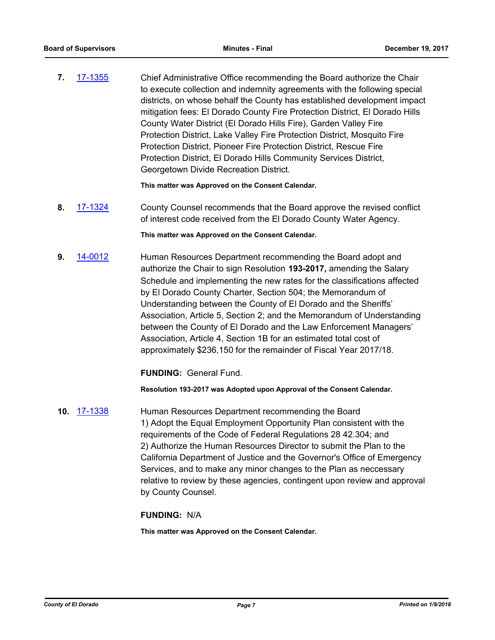**7.** [17-1355](http://eldorado.legistar.com/gateway.aspx?m=l&id=/matter.aspx?key=23301) Chief Administrative Office recommending the Board authorize the Chair to execute collection and indemnity agreements with the following special districts, on whose behalf the County has established development impact mitigation fees: El Dorado County Fire Protection District, El Dorado Hills County Water District (El Dorado Hills Fire), Garden Valley Fire Protection District, Lake Valley Fire Protection District, Mosquito Fire Protection District, Pioneer Fire Protection District, Rescue Fire Protection District, El Dorado Hills Community Services District, Georgetown Divide Recreation District.

**This matter was Approved on the Consent Calendar.**

**8.** [17-1324](http://eldorado.legistar.com/gateway.aspx?m=l&id=/matter.aspx?key=23268) County Counsel recommends that the Board approve the revised conflict of interest code received from the El Dorado County Water Agency.

**This matter was Approved on the Consent Calendar.**

**9.** [14-0012](http://eldorado.legistar.com/gateway.aspx?m=l&id=/matter.aspx?key=17493) Human Resources Department recommending the Board adopt and authorize the Chair to sign Resolution **193-2017,** amending the Salary Schedule and implementing the new rates for the classifications affected by El Dorado County Charter, Section 504; the Memorandum of Understanding between the County of El Dorado and the Sheriffs' Association, Article 5, Section 2; and the Memorandum of Understanding between the County of El Dorado and the Law Enforcement Managers' Association, Article 4, Section 1B for an estimated total cost of approximately \$236,150 for the remainder of Fiscal Year 2017/18.

**FUNDING:** General Fund.

**Resolution 193-2017 was Adopted upon Approval of the Consent Calendar.**

**10.** [17-1338](http://eldorado.legistar.com/gateway.aspx?m=l&id=/matter.aspx?key=23284) Human Resources Department recommending the Board 1) Adopt the Equal Employment Opportunity Plan consistent with the requirements of the Code of Federal Regulations 28 42.304; and 2) Authorize the Human Resources Director to submit the Plan to the California Department of Justice and the Governor's Office of Emergency Services, and to make any minor changes to the Plan as neccessary relative to review by these agencies, contingent upon review and approval by County Counsel.

## **FUNDING:** N/A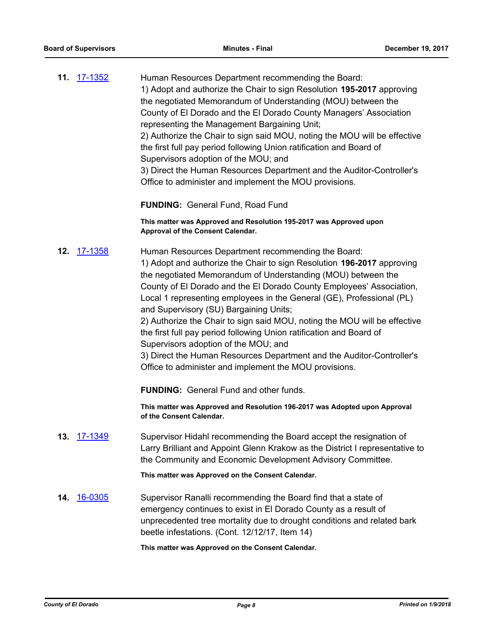| 11. 17-1352 | Human Resources Department recommending the Board:                        |
|-------------|---------------------------------------------------------------------------|
|             | 1) Adopt and authorize the Chair to sign Resolution 195-2017 approving    |
|             | the negotiated Memorandum of Understanding (MOU) between the              |
|             | County of El Dorado and the El Dorado County Managers' Association        |
|             | representing the Management Bargaining Unit;                              |
|             | 2) Authorize the Chair to sign said MOU, noting the MOU will be effective |
|             | the first full pay period following Union ratification and Board of       |
|             | Supervisors adoption of the MOU; and                                      |
|             | 3) Direct the Human Resources Department and the Auditor-Controller's     |
|             | Office to administer and implement the MOU provisions.                    |
|             | <b>FUNDING: General Fund, Road Fund</b>                                   |

**This matter was Approved and Resolution 195-2017 was Approved upon Approval of the Consent Calendar.**

**12.** [17-1358](http://eldorado.legistar.com/gateway.aspx?m=l&id=/matter.aspx?key=23304) Human Resources Department recommending the Board: 1) Adopt and authorize the Chair to sign Resolution **196-2017** approving the negotiated Memorandum of Understanding (MOU) between the County of El Dorado and the El Dorado County Employees' Association, Local 1 representing employees in the General (GE), Professional (PL) and Supervisory (SU) Bargaining Units; 2) Authorize the Chair to sign said MOU, noting the MOU will be effective

the first full pay period following Union ratification and Board of Supervisors adoption of the MOU; and

3) Direct the Human Resources Department and the Auditor-Controller's Office to administer and implement the MOU provisions.

**FUNDING:** General Fund and other funds.

**This matter was Approved and Resolution 196-2017 was Adopted upon Approval of the Consent Calendar.**

**13.** [17-1349](http://eldorado.legistar.com/gateway.aspx?m=l&id=/matter.aspx?key=23295) Supervisor Hidahl recommending the Board accept the resignation of Larry Brilliant and Appoint Glenn Krakow as the District I representative to the Community and Economic Development Advisory Committee.

**This matter was Approved on the Consent Calendar.**

**14.** [16-0305](http://eldorado.legistar.com/gateway.aspx?m=l&id=/matter.aspx?key=20961) Supervisor Ranalli recommending the Board find that a state of emergency continues to exist in El Dorado County as a result of unprecedented tree mortality due to drought conditions and related bark beetle infestations. (Cont. 12/12/17, Item 14)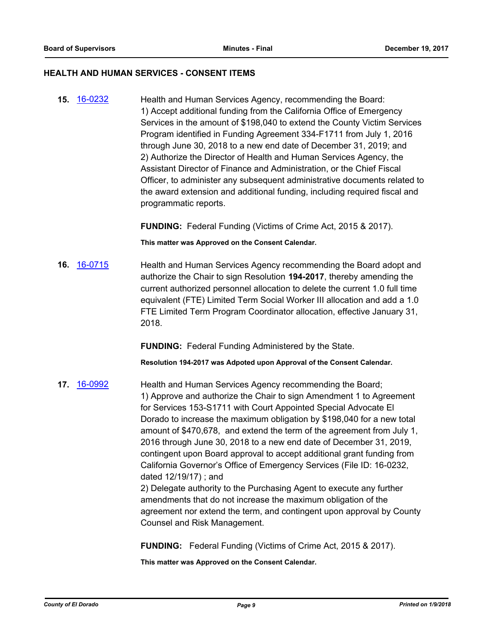#### **HEALTH AND HUMAN SERVICES - CONSENT ITEMS**

**15.** [16-0232](http://eldorado.legistar.com/gateway.aspx?m=l&id=/matter.aspx?key=20888) Health and Human Services Agency, recommending the Board: 1) Accept additional funding from the California Office of Emergency Services in the amount of \$198,040 to extend the County Victim Services Program identified in Funding Agreement 334-F1711 from July 1, 2016 through June 30, 2018 to a new end date of December 31, 2019; and 2) Authorize the Director of Health and Human Services Agency, the Assistant Director of Finance and Administration, or the Chief Fiscal Officer, to administer any subsequent administrative documents related to the award extension and additional funding, including required fiscal and programmatic reports.

**FUNDING:** Federal Funding (Victims of Crime Act, 2015 & 2017).

**This matter was Approved on the Consent Calendar.**

**16.** [16-0715](http://eldorado.legistar.com/gateway.aspx?m=l&id=/matter.aspx?key=21373) Health and Human Services Agency recommending the Board adopt and authorize the Chair to sign Resolution **194-2017**, thereby amending the current authorized personnel allocation to delete the current 1.0 full time equivalent (FTE) Limited Term Social Worker III allocation and add a 1.0 FTE Limited Term Program Coordinator allocation, effective January 31, 2018.

**FUNDING:** Federal Funding Administered by the State.

**Resolution 194-2017 was Adpoted upon Approval of the Consent Calendar.**

**17.** [16-0992](http://eldorado.legistar.com/gateway.aspx?m=l&id=/matter.aspx?key=21650) Health and Human Services Agency recommending the Board; 1) Approve and authorize the Chair to sign Amendment 1 to Agreement for Services 153-S1711 with Court Appointed Special Advocate El Dorado to increase the maximum obligation by \$198,040 for a new total amount of \$470,678, and extend the term of the agreement from July 1, 2016 through June 30, 2018 to a new end date of December 31, 2019, contingent upon Board approval to accept additional grant funding from California Governor's Office of Emergency Services (File ID: 16-0232, dated 12/19/17) ; and 2) Delegate authority to the Purchasing Agent to execute any further amendments that do not increase the maximum obligation of the agreement nor extend the term, and contingent upon approval by County

Counsel and Risk Management.

**FUNDING:** Federal Funding (Victims of Crime Act, 2015 & 2017).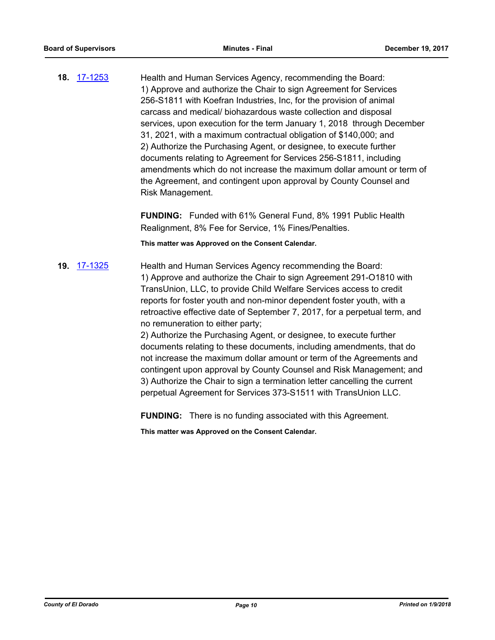**18.** [17-1253](http://eldorado.legistar.com/gateway.aspx?m=l&id=/matter.aspx?key=23197) Health and Human Services Agency, recommending the Board: 1) Approve and authorize the Chair to sign Agreement for Services 256-S1811 with Koefran Industries, Inc, for the provision of animal carcass and medical/ biohazardous waste collection and disposal services, upon execution for the term January 1, 2018 through December 31, 2021, with a maximum contractual obligation of \$140,000; and 2) Authorize the Purchasing Agent, or designee, to execute further documents relating to Agreement for Services 256-S1811, including amendments which do not increase the maximum dollar amount or term of the Agreement, and contingent upon approval by County Counsel and Risk Management.

> **FUNDING:** Funded with 61% General Fund, 8% 1991 Public Health Realignment, 8% Fee for Service, 1% Fines/Penalties.

**This matter was Approved on the Consent Calendar.**

**19.** [17-1325](http://eldorado.legistar.com/gateway.aspx?m=l&id=/matter.aspx?key=23269) Health and Human Services Agency recommending the Board: 1) Approve and authorize the Chair to sign Agreement 291-O1810 with TransUnion, LLC, to provide Child Welfare Services access to credit reports for foster youth and non-minor dependent foster youth, with a retroactive effective date of September 7, 2017, for a perpetual term, and no remuneration to either party;

> 2) Authorize the Purchasing Agent, or designee, to execute further documents relating to these documents, including amendments, that do not increase the maximum dollar amount or term of the Agreements and contingent upon approval by County Counsel and Risk Management; and 3) Authorize the Chair to sign a termination letter cancelling the current perpetual Agreement for Services 373-S1511 with TransUnion LLC.

**FUNDING:** There is no funding associated with this Agreement.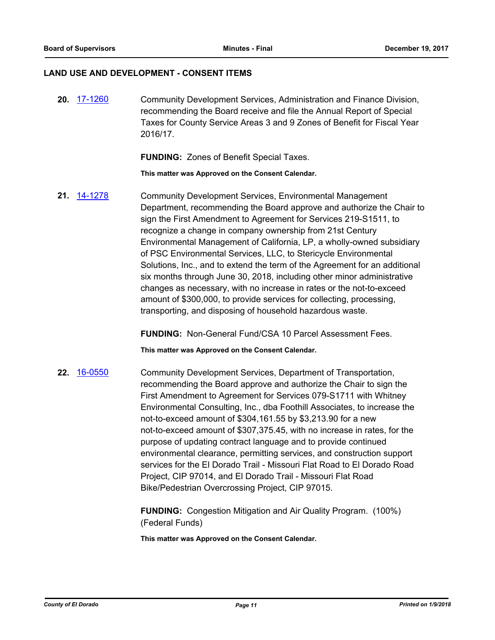#### **LAND USE AND DEVELOPMENT - CONSENT ITEMS**

**20.** [17-1260](http://eldorado.legistar.com/gateway.aspx?m=l&id=/matter.aspx?key=23204) Community Development Services, Administration and Finance Division, recommending the Board receive and file the Annual Report of Special Taxes for County Service Areas 3 and 9 Zones of Benefit for Fiscal Year 2016/17.

**FUNDING:** Zones of Benefit Special Taxes.

**This matter was Approved on the Consent Calendar.**

**21.** [14-1278](http://eldorado.legistar.com/gateway.aspx?m=l&id=/matter.aspx?key=18762) Community Development Services, Environmental Management Department, recommending the Board approve and authorize the Chair to sign the First Amendment to Agreement for Services 219-S1511, to recognize a change in company ownership from 21st Century Environmental Management of California, LP, a wholly-owned subsidiary of PSC Environmental Services, LLC, to Stericycle Environmental Solutions, Inc., and to extend the term of the Agreement for an additional six months through June 30, 2018, including other minor administrative changes as necessary, with no increase in rates or the not-to-exceed amount of \$300,000, to provide services for collecting, processing, transporting, and disposing of household hazardous waste.

**FUNDING:** Non-General Fund/CSA 10 Parcel Assessment Fees.

**This matter was Approved on the Consent Calendar.**

**22.** [16-0550](http://eldorado.legistar.com/gateway.aspx?m=l&id=/matter.aspx?key=21208) Community Development Services, Department of Transportation, recommending the Board approve and authorize the Chair to sign the First Amendment to Agreement for Services 079-S1711 with Whitney Environmental Consulting, Inc., dba Foothill Associates, to increase the not-to-exceed amount of \$304,161.55 by \$3,213.90 for a new not-to-exceed amount of \$307,375.45, with no increase in rates, for the purpose of updating contract language and to provide continued environmental clearance, permitting services, and construction support services for the El Dorado Trail - Missouri Flat Road to El Dorado Road Project, CIP 97014, and El Dorado Trail - Missouri Flat Road Bike/Pedestrian Overcrossing Project, CIP 97015.

> **FUNDING:** Congestion Mitigation and Air Quality Program. (100%) (Federal Funds)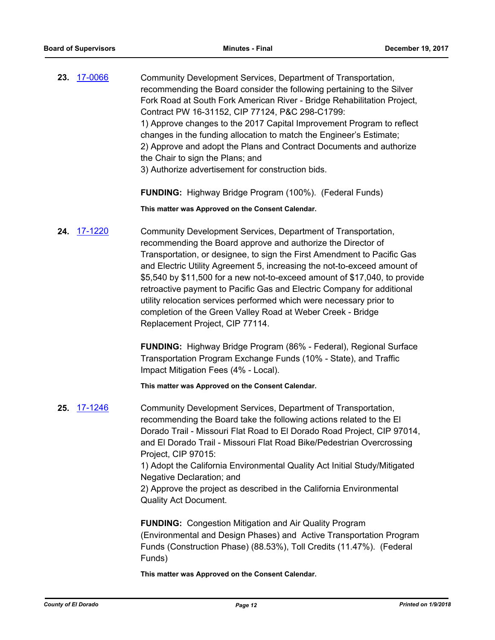23. [17-0066](http://eldorado.legistar.com/gateway.aspx?m=l&id=/matter.aspx?key=22003) Community Development Services, Department of Transportation, recommending the Board consider the following pertaining to the Silver Fork Road at South Fork American River - Bridge Rehabilitation Project, Contract PW 16-31152, CIP 77124, P&C 298-C1799: 1) Approve changes to the 2017 Capital Improvement Program to reflect changes in the funding allocation to match the Engineer's Estimate; 2) Approve and adopt the Plans and Contract Documents and authorize the Chair to sign the Plans; and 3) Authorize advertisement for construction bids.

**FUNDING:** Highway Bridge Program (100%). (Federal Funds)

**This matter was Approved on the Consent Calendar.**

**24.** [17-1220](http://eldorado.legistar.com/gateway.aspx?m=l&id=/matter.aspx?key=23164) Community Development Services, Department of Transportation, recommending the Board approve and authorize the Director of Transportation, or designee, to sign the First Amendment to Pacific Gas and Electric Utility Agreement 5, increasing the not-to-exceed amount of \$5,540 by \$11,500 for a new not-to-exceed amount of \$17,040, to provide retroactive payment to Pacific Gas and Electric Company for additional utility relocation services performed which were necessary prior to completion of the Green Valley Road at Weber Creek - Bridge Replacement Project, CIP 77114.

> **FUNDING:** Highway Bridge Program (86% - Federal), Regional Surface Transportation Program Exchange Funds (10% - State), and Traffic Impact Mitigation Fees (4% - Local).

**This matter was Approved on the Consent Calendar.**

**25.** [17-1246](http://eldorado.legistar.com/gateway.aspx?m=l&id=/matter.aspx?key=23190) Community Development Services, Department of Transportation, recommending the Board take the following actions related to the El Dorado Trail - Missouri Flat Road to El Dorado Road Project, CIP 97014, and El Dorado Trail - Missouri Flat Road Bike/Pedestrian Overcrossing Project, CIP 97015: 1) Adopt the California Environmental Quality Act Initial Study/Mitigated Negative Declaration; and 2) Approve the project as described in the California Environmental Quality Act Document. **FUNDING:** Congestion Mitigation and Air Quality Program

(Environmental and Design Phases) and Active Transportation Program Funds (Construction Phase) (88.53%), Toll Credits (11.47%). (Federal Funds)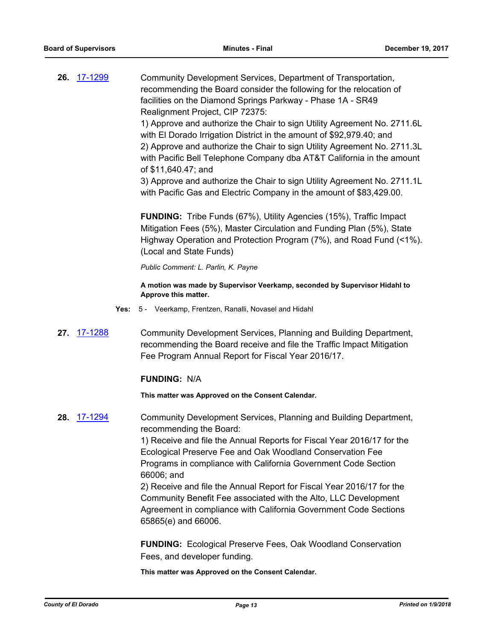**26.** [17-1299](http://eldorado.legistar.com/gateway.aspx?m=l&id=/matter.aspx?key=23243) Community Development Services, Department of Transportation, recommending the Board consider the following for the relocation of facilities on the Diamond Springs Parkway - Phase 1A - SR49 Realignment Project, CIP 72375:

1) Approve and authorize the Chair to sign Utility Agreement No. 2711.6L with El Dorado Irrigation District in the amount of \$92,979.40; and 2) Approve and authorize the Chair to sign Utility Agreement No. 2711.3L with Pacific Bell Telephone Company dba AT&T California in the amount of \$11,640.47; and

3) Approve and authorize the Chair to sign Utility Agreement No. 2711.1L with Pacific Gas and Electric Company in the amount of \$83,429.00.

**FUNDING:** Tribe Funds (67%), Utility Agencies (15%), Traffic Impact Mitigation Fees (5%), Master Circulation and Funding Plan (5%), State Highway Operation and Protection Program (7%), and Road Fund (<1%). (Local and State Funds)

*Public Comment: L. Parlin, K. Payne*

**A motion was made by Supervisor Veerkamp, seconded by Supervisor Hidahl to Approve this matter.**

- **Yes:** 5 Veerkamp, Frentzen, Ranalli, Novasel and Hidahl
- **27.** [17-1288](http://eldorado.legistar.com/gateway.aspx?m=l&id=/matter.aspx?key=23232) Community Development Services, Planning and Building Department, recommending the Board receive and file the Traffic Impact Mitigation Fee Program Annual Report for Fiscal Year 2016/17.

#### **FUNDING:** N/A

**This matter was Approved on the Consent Calendar.**

**28.** [17-1294](http://eldorado.legistar.com/gateway.aspx?m=l&id=/matter.aspx?key=23238) Community Development Services, Planning and Building Department, recommending the Board:

> 1) Receive and file the Annual Reports for Fiscal Year 2016/17 for the Ecological Preserve Fee and Oak Woodland Conservation Fee Programs in compliance with California Government Code Section 66006; and

2) Receive and file the Annual Report for Fiscal Year 2016/17 for the Community Benefit Fee associated with the Alto, LLC Development Agreement in compliance with California Government Code Sections 65865(e) and 66006.

**FUNDING:** Ecological Preserve Fees, Oak Woodland Conservation Fees, and developer funding.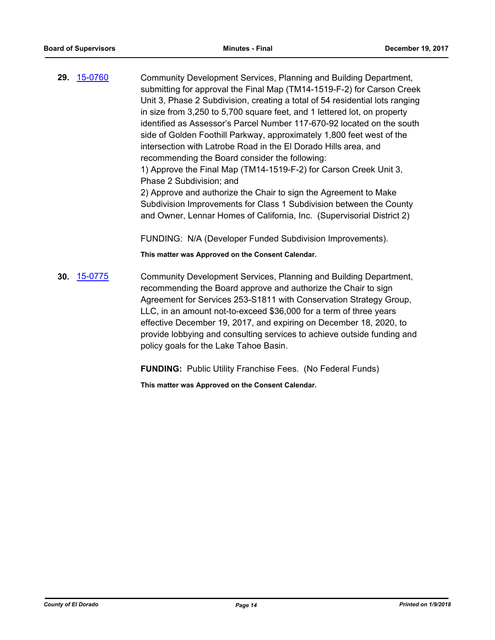**29.** [15-0760](http://eldorado.legistar.com/gateway.aspx?m=l&id=/matter.aspx?key=19935) Community Development Services, Planning and Building Department, submitting for approval the Final Map (TM14-1519-F-2) for Carson Creek Unit 3, Phase 2 Subdivision, creating a total of 54 residential lots ranging in size from 3,250 to 5,700 square feet, and 1 lettered lot, on property identified as Assessor's Parcel Number 117-670-92 located on the south side of Golden Foothill Parkway, approximately 1,800 feet west of the intersection with Latrobe Road in the El Dorado Hills area, and recommending the Board consider the following: 1) Approve the Final Map (TM14-1519-F-2) for Carson Creek Unit 3, Phase 2 Subdivision; and 2) Approve and authorize the Chair to sign the Agreement to Make Subdivision Improvements for Class 1 Subdivision between the County and Owner, Lennar Homes of California, Inc. (Supervisorial District 2) FUNDING: N/A (Developer Funded Subdivision Improvements). **This matter was Approved on the Consent Calendar. 30.** [15-0775](http://eldorado.legistar.com/gateway.aspx?m=l&id=/matter.aspx?key=19950) Community Development Services, Planning and Building Department, recommending the Board approve and authorize the Chair to sign Agreement for Services 253-S1811 with Conservation Strategy Group,

LLC, in an amount not-to-exceed \$36,000 for a term of three years effective December 19, 2017, and expiring on December 18, 2020, to provide lobbying and consulting services to achieve outside funding and policy goals for the Lake Tahoe Basin.

**FUNDING:** Public Utility Franchise Fees. (No Federal Funds)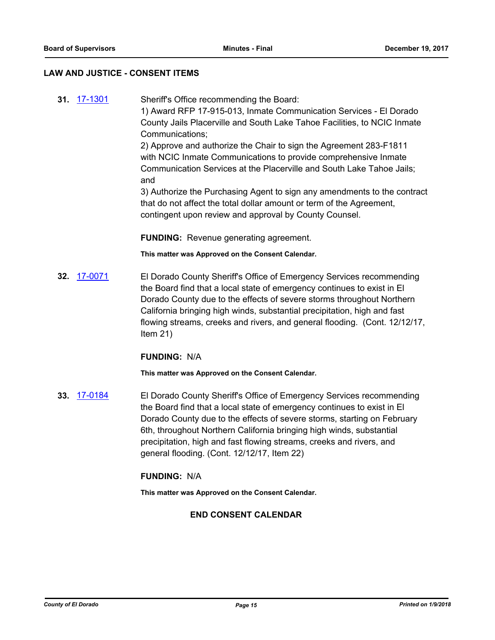#### **LAW AND JUSTICE - CONSENT ITEMS**

and

**31.** [17-1301](http://eldorado.legistar.com/gateway.aspx?m=l&id=/matter.aspx?key=23245) Sheriff's Office recommending the Board: 1) Award RFP 17-915-013, Inmate Communication Services - El Dorado County Jails Placerville and South Lake Tahoe Facilities, to NCIC Inmate Communications; 2) Approve and authorize the Chair to sign the Agreement 283-F1811 with NCIC Inmate Communications to provide comprehensive Inmate Communication Services at the Placerville and South Lake Tahoe Jails;

> 3) Authorize the Purchasing Agent to sign any amendments to the contract that do not affect the total dollar amount or term of the Agreement, contingent upon review and approval by County Counsel.

**FUNDING:** Revenue generating agreement.

**This matter was Approved on the Consent Calendar.**

**32.** [17-0071](http://eldorado.legistar.com/gateway.aspx?m=l&id=/matter.aspx?key=22008) El Dorado County Sheriff's Office of Emergency Services recommending the Board find that a local state of emergency continues to exist in El Dorado County due to the effects of severe storms throughout Northern California bringing high winds, substantial precipitation, high and fast flowing streams, creeks and rivers, and general flooding. (Cont. 12/12/17, Item 21)

## **FUNDING:** N/A

**This matter was Approved on the Consent Calendar.**

**33.** [17-0184](http://eldorado.legistar.com/gateway.aspx?m=l&id=/matter.aspx?key=22122) El Dorado County Sheriff's Office of Emergency Services recommending the Board find that a local state of emergency continues to exist in El Dorado County due to the effects of severe storms, starting on February 6th, throughout Northern California bringing high winds, substantial precipitation, high and fast flowing streams, creeks and rivers, and general flooding. (Cont. 12/12/17, Item 22)

## **FUNDING:** N/A

**This matter was Approved on the Consent Calendar.**

#### **END CONSENT CALENDAR**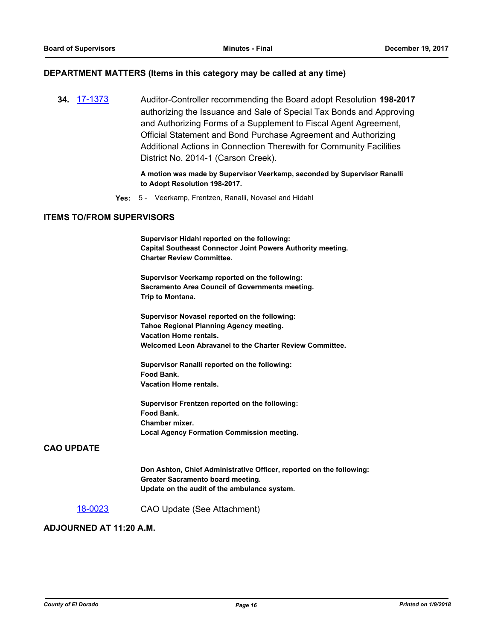#### **DEPARTMENT MATTERS (Items in this category may be called at any time)**

**34.** [17-1373](http://eldorado.legistar.com/gateway.aspx?m=l&id=/matter.aspx?key=23319) Auditor-Controller recommending the Board adopt Resolution **198-2017** authorizing the Issuance and Sale of Special Tax Bonds and Approving and Authorizing Forms of a Supplement to Fiscal Agent Agreement, Official Statement and Bond Purchase Agreement and Authorizing Additional Actions in Connection Therewith for Community Facilities District No. 2014-1 (Carson Creek).

> **A motion was made by Supervisor Veerkamp, seconded by Supervisor Ranalli to Adopt Resolution 198-2017.**

**Yes:** 5 - Veerkamp, Frentzen, Ranalli, Novasel and Hidahl

#### **ITEMS TO/FROM SUPERVISORS**

**Supervisor Hidahl reported on the following: Capital Southeast Connector Joint Powers Authority meeting. Charter Review Committee.**

**Supervisor Veerkamp reported on the following: Sacramento Area Council of Governments meeting. Trip to Montana.**

**Supervisor Novasel reported on the following: Tahoe Regional Planning Agency meeting. Vacation Home rentals. Welcomed Leon Abravanel to the Charter Review Committee.**

**Supervisor Ranalli reported on the following: Food Bank. Vacation Home rentals.**

**Supervisor Frentzen reported on the following: Food Bank. Chamber mixer. Local Agency Formation Commission meeting.**

## **CAO UPDATE**

**Don Ashton, Chief Administrative Officer, reported on the following: Greater Sacramento board meeting. Update on the audit of the ambulance system.**

#### [18-0023](http://eldorado.legistar.com/gateway.aspx?m=l&id=/matter.aspx?key=23364) CAO Update (See Attachment)

## **ADJOURNED AT 11:20 A.M.**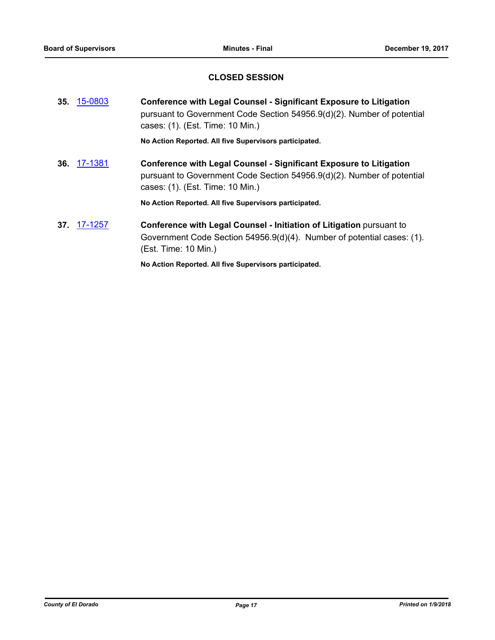## **CLOSED SESSION**

|     | 35. 15-0803       | <b>Conference with Legal Counsel - Significant Exposure to Litigation</b><br>pursuant to Government Code Section 54956.9(d)(2). Number of potential<br>cases: (1). (Est. Time: 10 Min.) |
|-----|-------------------|-----------------------------------------------------------------------------------------------------------------------------------------------------------------------------------------|
|     |                   | No Action Reported. All five Supervisors participated.                                                                                                                                  |
| 36. | 17-1381           | <b>Conference with Legal Counsel - Significant Exposure to Litigation</b><br>pursuant to Government Code Section 54956.9(d)(2). Number of potential<br>cases: (1). (Est. Time: 10 Min.) |
|     |                   | No Action Reported. All five Supervisors participated.                                                                                                                                  |
|     | <b>37 17-1257</b> | Conference with Legal Counsel - Initiation of Litigation pursuant to<br>Government Code Section 54956.9(d)(4). Number of potential cases: (1).<br>(Est. Time: 10 Min.)                  |
|     |                   | No Action Reported. All five Supervisors participated.                                                                                                                                  |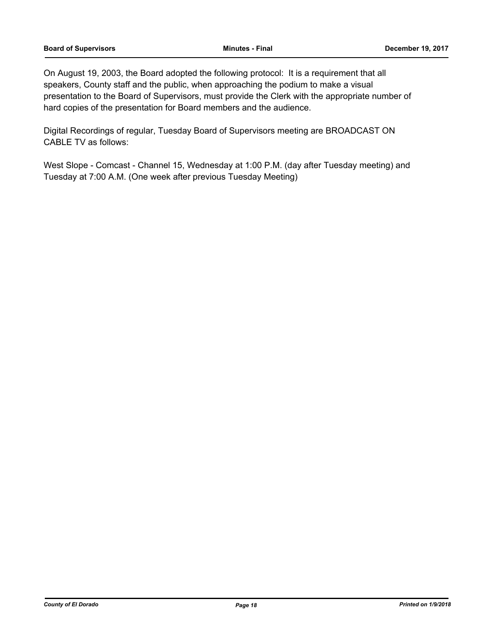On August 19, 2003, the Board adopted the following protocol: It is a requirement that all speakers, County staff and the public, when approaching the podium to make a visual presentation to the Board of Supervisors, must provide the Clerk with the appropriate number of hard copies of the presentation for Board members and the audience.

Digital Recordings of regular, Tuesday Board of Supervisors meeting are BROADCAST ON CABLE TV as follows:

West Slope - Comcast - Channel 15, Wednesday at 1:00 P.M. (day after Tuesday meeting) and Tuesday at 7:00 A.M. (One week after previous Tuesday Meeting)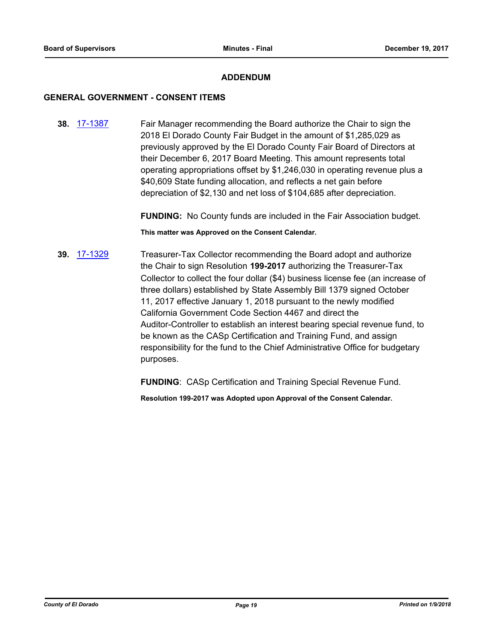## **ADDENDUM**

#### **GENERAL GOVERNMENT - CONSENT ITEMS**

**38.** [17-1387](http://eldorado.legistar.com/gateway.aspx?m=l&id=/matter.aspx?key=23333) Fair Manager recommending the Board authorize the Chair to sign the 2018 El Dorado County Fair Budget in the amount of \$1,285,029 as previously approved by the El Dorado County Fair Board of Directors at their December 6, 2017 Board Meeting. This amount represents total operating appropriations offset by \$1,246,030 in operating revenue plus a \$40,609 State funding allocation, and reflects a net gain before depreciation of \$2,130 and net loss of \$104,685 after depreciation.

**FUNDING:** No County funds are included in the Fair Association budget.

**This matter was Approved on the Consent Calendar.**

**39.** [17-1329](http://eldorado.legistar.com/gateway.aspx?m=l&id=/matter.aspx?key=23273) Treasurer-Tax Collector recommending the Board adopt and authorize the Chair to sign Resolution **199-2017** authorizing the Treasurer-Tax Collector to collect the four dollar (\$4) business license fee (an increase of three dollars) established by State Assembly Bill 1379 signed October 11, 2017 effective January 1, 2018 pursuant to the newly modified California Government Code Section 4467 and direct the Auditor-Controller to establish an interest bearing special revenue fund, to be known as the CASp Certification and Training Fund, and assign responsibility for the fund to the Chief Administrative Office for budgetary purposes.

**FUNDING**: CASp Certification and Training Special Revenue Fund.

**Resolution 199-2017 was Adopted upon Approval of the Consent Calendar.**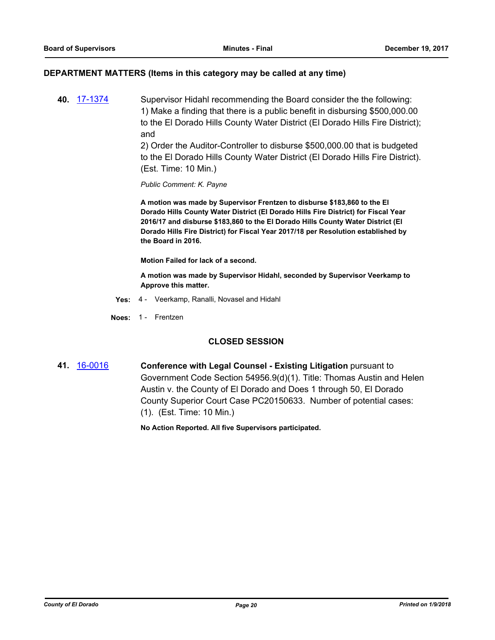#### **DEPARTMENT MATTERS (Items in this category may be called at any time)**

**40.** [17-1374](http://eldorado.legistar.com/gateway.aspx?m=l&id=/matter.aspx?key=23320) Supervisor Hidahl recommending the Board consider the the following: 1) Make a finding that there is a public benefit in disbursing \$500,000.00 to the El Dorado Hills County Water District (El Dorado Hills Fire District); and

2) Order the Auditor-Controller to disburse \$500,000.00 that is budgeted to the El Dorado Hills County Water District (El Dorado Hills Fire District). (Est. Time: 10 Min.)

*Public Comment: K. Payne*

**A motion was made by Supervisor Frentzen to disburse \$183,860 to the El Dorado Hills County Water District (El Dorado Hills Fire District) for Fiscal Year 2016/17 and disburse \$183,860 to the El Dorado Hills County Water District (El Dorado Hills Fire District) for Fiscal Year 2017/18 per Resolution established by the Board in 2016.**

**Motion Failed for lack of a second.**

**A motion was made by Supervisor Hidahl, seconded by Supervisor Veerkamp to Approve this matter.**

- **Yes:** 4 Veerkamp, Ranalli, Novasel and Hidahl
- **Noes:** 1 Frentzen

#### **CLOSED SESSION**

**41.** [16-0016](http://eldorado.legistar.com/gateway.aspx?m=l&id=/matter.aspx?key=20672) **Conference with Legal Counsel - Existing Litigation** pursuant to Government Code Section 54956.9(d)(1). Title: Thomas Austin and Helen Austin v. the County of El Dorado and Does 1 through 50, El Dorado County Superior Court Case PC20150633. Number of potential cases: (1). (Est. Time: 10 Min.)

**No Action Reported. All five Supervisors participated.**